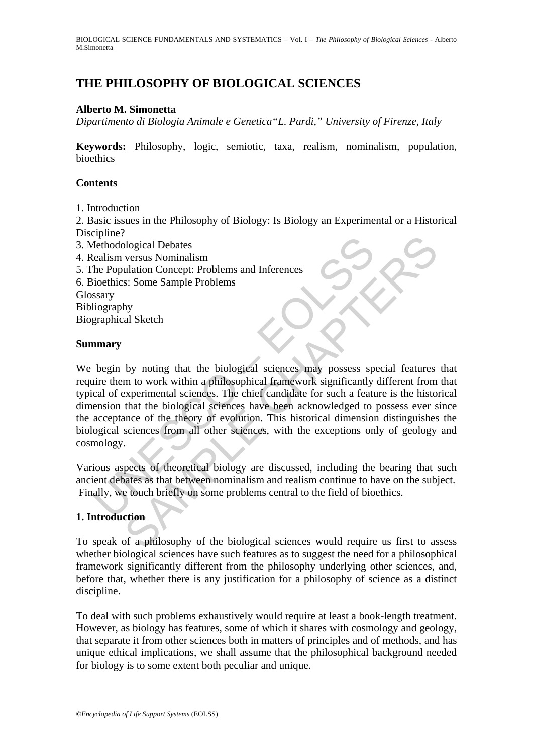## **THE PHILOSOPHY OF BIOLOGICAL SCIENCES**

#### **Alberto M. Simonetta**

*Dipartimento di Biologia Animale e Genetica"L. Pardi," University of Firenze, Italy* 

**Keywords:** Philosophy, logic, semiotic, taxa, realism, nominalism, population, bioethics

#### **Contents**

1. Introduction

2. Basic issues in the Philosophy of Biology: Is Biology an Experimental or a Historical Discipline?

- 3. Methodological Debates
- 4. Realism versus Nominalism
- 5. The Population Concept: Problems and Inferences
- 6. Bioethics: Some Sample Problems
- Glossary

Bibliography

Biographical Sketch

#### **Summary**

Ferminet.<br>The Hotological Debates<br>
ealism versus Nominalism<br>
the Population Concept: Problems and Inferences<br>
ioethics: Some Sample Problems<br>
ssary<br>
ssary<br>
prophical Sketch<br> **mmary**<br>
begin by noting that the biological sci Degical Debates<br>
versus Nominalism<br>
versus Nominalism<br>
station Concept: Problems and Inferences<br>
station Concept: Problems<br>
by<br>
by<br>
hy<br>
al Sketch<br>
by noting that the biological sciences was possess special features<br>
that t We begin by noting that the biological sciences may possess special features that require them to work within a philosophical framework significantly different from that typical of experimental sciences. The chief candidate for such a feature is the historical dimension that the biological sciences have been acknowledged to possess ever since the acceptance of the theory of evolution. This historical dimension distinguishes the biological sciences from all other sciences, with the exceptions only of geology and cosmology.

Various aspects of theoretical biology are discussed, including the bearing that such ancient debates as that between nominalism and realism continue to have on the subject. Finally, we touch briefly on some problems central to the field of bioethics.

#### **1. Introduction**

To speak of a philosophy of the biological sciences would require us first to assess whether biological sciences have such features as to suggest the need for a philosophical framework significantly different from the philosophy underlying other sciences, and, before that, whether there is any justification for a philosophy of science as a distinct discipline.

To deal with such problems exhaustively would require at least a book-length treatment. However, as biology has features, some of which it shares with cosmology and geology, that separate it from other sciences both in matters of principles and of methods, and has unique ethical implications, we shall assume that the philosophical background needed for biology is to some extent both peculiar and unique.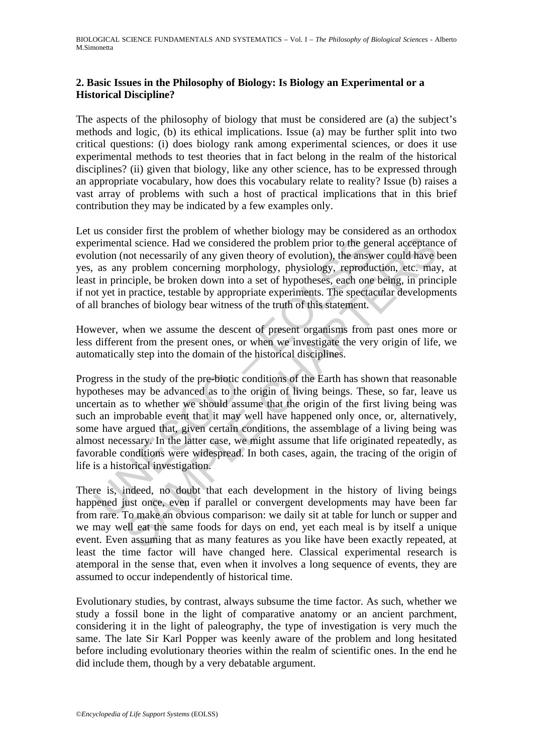## **2. Basic Issues in the Philosophy of Biology: Is Biology an Experimental or a Historical Discipline?**

The aspects of the philosophy of biology that must be considered are (a) the subject's methods and logic, (b) its ethical implications. Issue (a) may be further split into two critical questions: (i) does biology rank among experimental sciences, or does it use experimental methods to test theories that in fact belong in the realm of the historical disciplines? (ii) given that biology, like any other science, has to be expressed through an appropriate vocabulary, how does this vocabulary relate to reality? Issue (b) raises a vast array of problems with such a host of practical implications that in this brief contribution they may be indicated by a few examples only.

Let us consider first the problem of whether biology may be considered as an orthodox experimental science. Had we considered the problem prior to the general acceptance of evolution (not necessarily of any given theory of evolution), the answer could have been yes, as any problem concerning morphology, physiology, reproduction, etc. may, at least in principle, be broken down into a set of hypotheses, each one being, in principle if not yet in practice, testable by appropriate experiments. The spectacular developments of all branches of biology bear witness of the truth of this statement.

However, when we assume the descent of present organisms from past ones more or less different from the present ones, or when we investigate the very origin of life, we automatically step into the domain of the historical disciplines.

erimental science. Had we considered the problem prior to the genution (not necessarily of any given theory of evolution), the answ as any problem concerning morphology, physiology, reproduct in principle, be broken down i and science. Had we considered the problem prior to the general acceptance and science. Had we considered the problem prior to the general acceptance and the move of evolution), the answer could have problem concerning mor Progress in the study of the pre-biotic conditions of the Earth has shown that reasonable hypotheses may be advanced as to the origin of living beings. These, so far, leave us uncertain as to whether we should assume that the origin of the first living being was such an improbable event that it may well have happened only once, or, alternatively, some have argued that, given certain conditions, the assemblage of a living being was almost necessary. In the latter case, we might assume that life originated repeatedly, as favorable conditions were widespread. In both cases, again, the tracing of the origin of life is a historical investigation.

There is, indeed, no doubt that each development in the history of living beings happened just once, even if parallel or convergent developments may have been far from rare. To make an obvious comparison: we daily sit at table for lunch or supper and we may well eat the same foods for days on end, yet each meal is by itself a unique event. Even assuming that as many features as you like have been exactly repeated, at least the time factor will have changed here. Classical experimental research is atemporal in the sense that, even when it involves a long sequence of events, they are assumed to occur independently of historical time.

Evolutionary studies, by contrast, always subsume the time factor. As such, whether we study a fossil bone in the light of comparative anatomy or an ancient parchment, considering it in the light of paleography, the type of investigation is very much the same. The late Sir Karl Popper was keenly aware of the problem and long hesitated before including evolutionary theories within the realm of scientific ones. In the end he did include them, though by a very debatable argument.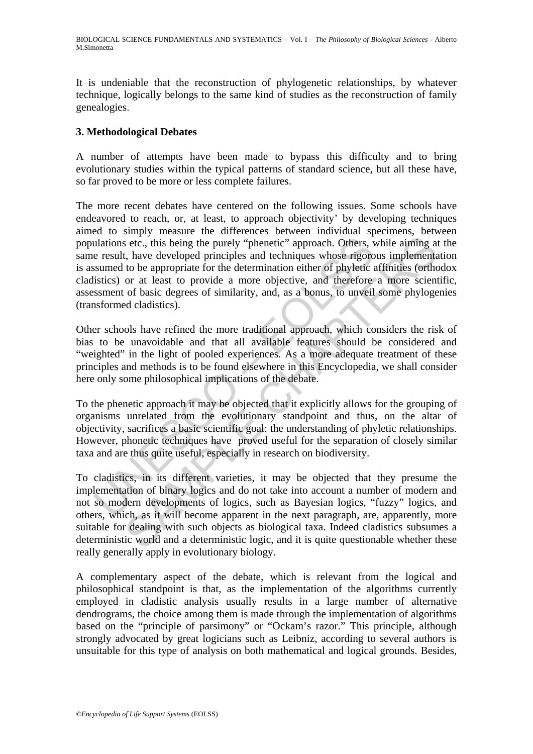It is undeniable that the reconstruction of phylogenetic relationships, by whatever technique, logically belongs to the same kind of studies as the reconstruction of family genealogies.

## **3. Methodological Debates**

A number of attempts have been made to bypass this difficulty and to bring evolutionary studies within the typical patterns of standard science, but all these have, so far proved to be more or less complete failures.

ulations etc., this being the purely "phenetic" approach. Others, vertically and techniques whose rigorosumed to be appropriate for the determination either of phyletic aistics) or at least to provide a more objective, and The more recent debates have centered on the following issues. Some schools have endeavored to reach, or, at least, to approach objectivity' by developing techniques aimed to simply measure the differences between individual specimens, between populations etc., this being the purely "phenetic" approach. Others, while aiming at the same result, have developed principles and techniques whose rigorous implementation is assumed to be appropriate for the determination either of phyletic affinities (orthodox cladistics) or at least to provide a more objective, and therefore a more scientific, assessment of basic degrees of similarity, and, as a bonus, to unveil some phylogenies (transformed cladistics).

Other schools have refined the more traditional approach, which considers the risk of bias to be unavoidable and that all available features should be considered and "weighted" in the light of pooled experiences. As a more adequate treatment of these principles and methods is to be found elsewhere in this Encyclopedia, we shall consider here only some philosophical implications of the debate.

To the phenetic approach it may be objected that it explicitly allows for the grouping of organisms unrelated from the evolutionary standpoint and thus, on the altar of objectivity, sacrifices a basic scientific goal: the understanding of phyletic relationships. However, phonetic techniques have proved useful for the separation of closely similar taxa and are thus quite useful, especially in research on biodiversity.

s etc., this being the purely "phenetic" approach. Others, while aiming at etc., this being the purely "phenetic" approach. Others, while aiming at the developed principles and techniques whose rigorous implementate to to To cladistics, in its different varieties, it may be objected that they presume the implementation of binary logics and do not take into account a number of modern and not so modern developments of logics, such as Bayesian logics, "fuzzy" logics, and others, which, as it will become apparent in the next paragraph, are, apparently, more suitable for dealing with such objects as biological taxa. Indeed cladistics subsumes a deterministic world and a deterministic logic, and it is quite questionable whether these really generally apply in evolutionary biology.

A complementary aspect of the debate, which is relevant from the logical and philosophical standpoint is that, as the implementation of the algorithms currently employed in cladistic analysis usually results in a large number of alternative dendrograms, the choice among them is made through the implementation of algorithms based on the "principle of parsimony" or "Ockam's razor." This principle, although strongly advocated by great logicians such as Leibniz, according to several authors is unsuitable for this type of analysis on both mathematical and logical grounds. Besides,